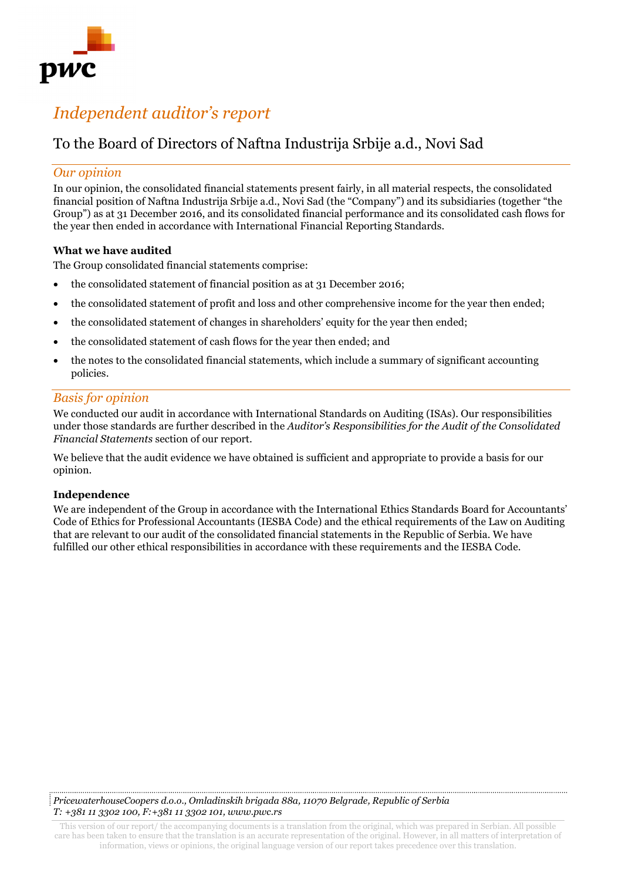

# *Independent auditor's report*

# To the Board of Directors of Naftna Industrija Srbije a.d., Novi Sad

# *Our opinion*

In our opinion, the consolidated financial statements present fairly, in all material respects, the consolidated financial position of Naftna Industrija Srbije a.d., Novi Sad (the "Company") and its subsidiaries (together "the Group") as at 31 December 2016, and its consolidated financial performance and its consolidated cash flows for the year then ended in accordance with International Financial Reporting Standards.

#### **What we have audited**

The Group consolidated financial statements comprise:

- the consolidated statement of financial position as at 31 December 2016;
- the consolidated statement of profit and loss and other comprehensive income for the year then ended;
- the consolidated statement of changes in shareholders' equity for the year then ended;
- the consolidated statement of cash flows for the year then ended; and
- the notes to the consolidated financial statements, which include a summary of significant accounting policies.

# *Basis for opinion*

We conducted our audit in accordance with International Standards on Auditing (ISAs). Our responsibilities under those standards are further described in the *Auditor's Responsibilities for the Audit of the Consolidated Financial Statements* section of our report.

We believe that the audit evidence we have obtained is sufficient and appropriate to provide a basis for our opinion.

#### **Independence**

We are independent of the Group in accordance with the International Ethics Standards Board for Accountants' Code of Ethics for Professional Accountants (IESBA Code) and the ethical requirements of the Law on Auditing that are relevant to our audit of the consolidated financial statements in the Republic of Serbia. We have fulfilled our other ethical responsibilities in accordance with these requirements and the IESBA Code.

*PricewaterhouseCoopers d.o.o., Omladinskih brigada 88a, 11070 Belgrade, Republic of Serbia T: +381 11 3302 100, F:+381 11 3302 101, www.pwc.rs*

This version of our report/ the accompanying documents is a translation from the original, which was prepared in Serbian. All possible care has been taken to ensure that the translation is an accurate representation of the original. However, in all matters of interpretation of information, views or opinions, the original language version of our report takes precedence over this translation.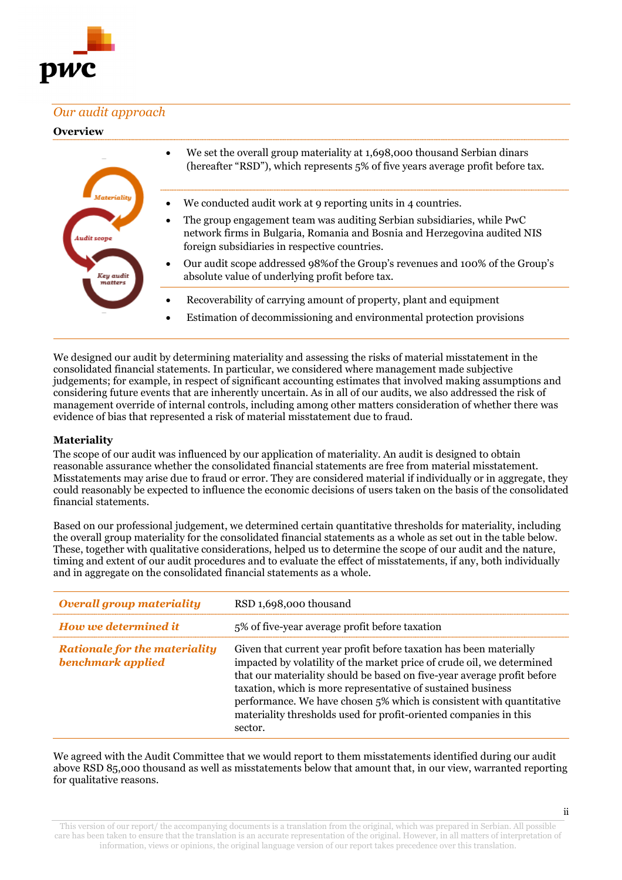

# *Our audit approach*

#### **Overview**

| ludit scone<br>Key audit<br>matters | We set the overall group materiality at 1,698,000 thousand Serbian dinars<br>٠<br>(hereafter "RSD"), which represents 5% of five years average profit before tax.                                                 |
|-------------------------------------|-------------------------------------------------------------------------------------------------------------------------------------------------------------------------------------------------------------------|
|                                     | We conducted audit work at 9 reporting units in 4 countries.<br>$\bullet$                                                                                                                                         |
|                                     | The group engagement team was auditing Serbian subsidiaries, while PwC<br>$\bullet$<br>network firms in Bulgaria, Romania and Bosnia and Herzegovina audited NIS<br>foreign subsidiaries in respective countries. |
|                                     | Our audit scope addressed 98% of the Group's revenues and 100% of the Group's<br>$\bullet$<br>absolute value of underlying profit before tax.                                                                     |
|                                     | Recoverability of carrying amount of property, plant and equipment<br>Estimation of decommissioning and environmental protection provisions                                                                       |

We designed our audit by determining materiality and assessing the risks of material misstatement in the consolidated financial statements. In particular, we considered where management made subjective judgements; for example, in respect of significant accounting estimates that involved making assumptions and considering future events that are inherently uncertain. As in all of our audits, we also addressed the risk of management override of internal controls, including among other matters consideration of whether there was evidence of bias that represented a risk of material misstatement due to fraud.

#### **Materiality**

The scope of our audit was influenced by our application of materiality. An audit is designed to obtain reasonable assurance whether the consolidated financial statements are free from material misstatement. Misstatements may arise due to fraud or error. They are considered material if individually or in aggregate, they could reasonably be expected to influence the economic decisions of users taken on the basis of the consolidated financial statements.

Based on our professional judgement, we determined certain quantitative thresholds for materiality, including the overall group materiality for the consolidated financial statements as a whole as set out in the table below. These, together with qualitative considerations, helped us to determine the scope of our audit and the nature, timing and extent of our audit procedures and to evaluate the effect of misstatements, if any, both individually and in aggregate on the consolidated financial statements as a whole.

| <b>Overall group materiality</b>                          | RSD 1,698,000 thousand                                                                                                                                                                                                                                                                                                                                                                                                                          |
|-----------------------------------------------------------|-------------------------------------------------------------------------------------------------------------------------------------------------------------------------------------------------------------------------------------------------------------------------------------------------------------------------------------------------------------------------------------------------------------------------------------------------|
| How we determined it                                      | 5% of five-year average profit before taxation                                                                                                                                                                                                                                                                                                                                                                                                  |
| <b>Rationale for the materiality</b><br>benchmark applied | Given that current year profit before taxation has been materially<br>impacted by volatility of the market price of crude oil, we determined<br>that our materiality should be based on five-year average profit before<br>taxation, which is more representative of sustained business<br>performance. We have chosen 5% which is consistent with quantitative<br>materiality thresholds used for profit-oriented companies in this<br>sector. |

We agreed with the Audit Committee that we would report to them misstatements identified during our audit above RSD 85,000 thousand as well as misstatements below that amount that, in our view, warranted reporting for qualitative reasons.

This version of our report/ the accompanying documents is a translation from the original, which was prepared in Serbian. All possible care has been taken to ensure that the translation is an accurate representation of the original. However, in all matters of interpretation of information, views or opinions, the original language version of our report takes precedence over this translation.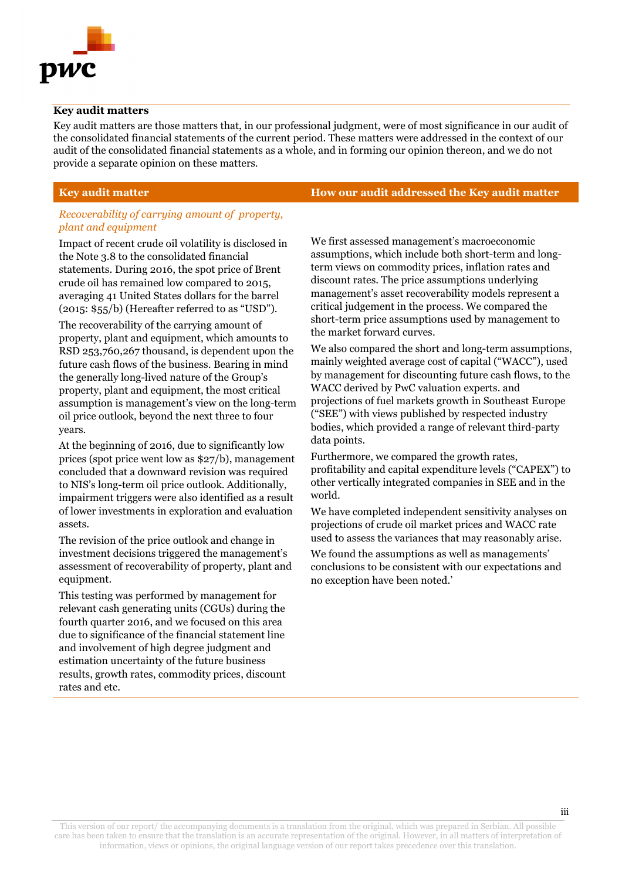

#### **Key audit matters**

Key audit matters are those matters that, in our professional judgment, were of most significance in our audit of the consolidated financial statements of the current period. These matters were addressed in the context of our audit of the consolidated financial statements as a whole, and in forming our opinion thereon, and we do not provide a separate opinion on these matters.

#### *Recoverability of carrying amount of property, plant and equipment*

Impact of recent crude oil volatility is disclosed in the Note 3.8 to the consolidated financial statements. During 2016, the spot price of Brent crude oil has remained low compared to 2015, averaging 41 United States dollars for the barrel (2015: \$55/b) (Hereafter referred to as "USD").

The recoverability of the carrying amount of property, plant and equipment, which amounts to RSD 253,760,267 thousand, is dependent upon the future cash flows of the business. Bearing in mind the generally long-lived nature of the Group's property, plant and equipment, the most critical assumption is management's view on the long-term oil price outlook, beyond the next three to four years.

At the beginning of 2016, due to significantly low prices (spot price went low as \$27/b), management concluded that a downward revision was required to NIS's long-term oil price outlook. Additionally, impairment triggers were also identified as a result of lower investments in exploration and evaluation assets.

The revision of the price outlook and change in investment decisions triggered the management's assessment of recoverability of property, plant and equipment.

This testing was performed by management for relevant cash generating units (CGUs) during the fourth quarter 2016, and we focused on this area due to significance of the financial statement line and involvement of high degree judgment and estimation uncertainty of the future business results, growth rates, commodity prices, discount rates and etc.

**Key audit matter How our audit addressed the Key audit matter**

We first assessed management's macroeconomic assumptions, which include both short-term and longterm views on commodity prices, inflation rates and discount rates. The price assumptions underlying management's asset recoverability models represent a critical judgement in the process. We compared the short-term price assumptions used by management to the market forward curves.

We also compared the short and long-term assumptions, mainly weighted average cost of capital ("WACC"), used by management for discounting future cash flows, to the WACC derived by PwC valuation experts. and projections of fuel markets growth in Southeast Europe ("SEE") with views published by respected industry bodies, which provided a range of relevant third-party data points.

Furthermore, we compared the growth rates, profitability and capital expenditure levels ("CAPEX") to other vertically integrated companies in SEE and in the world.

We have completed independent sensitivity analyses on projections of crude oil market prices and WACC rate used to assess the variances that may reasonably arise.

We found the assumptions as well as managements' conclusions to be consistent with our expectations and no exception have been noted.'

This version of our report/ the accompanying documents is a translation from the original, which was prepared in Serbian. All possible care has been taken to ensure that the translation is an accurate representation of the original. However, in all matters of interpretation of information, views or opinions, the original language version of our report takes precedence over this translation.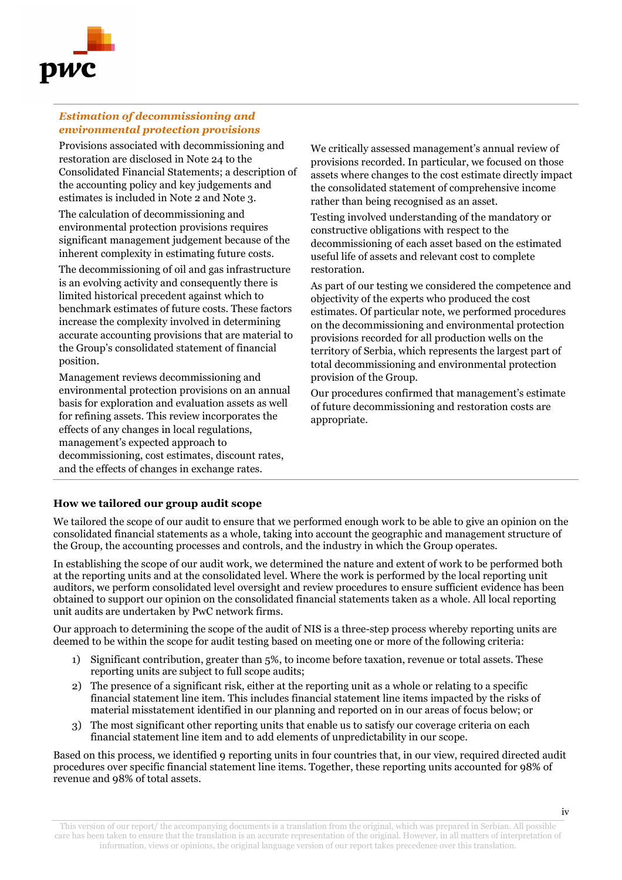

#### *Estimation of decommissioning and environmental protection provisions*

Provisions associated with decommissioning and restoration are disclosed in Note 24 to the Consolidated Financial Statements; a description of the accounting policy and key judgements and estimates is included in Note 2 and Note 3.

The calculation of decommissioning and environmental protection provisions requires significant management judgement because of the inherent complexity in estimating future costs.

The decommissioning of oil and gas infrastructure is an evolving activity and consequently there is limited historical precedent against which to benchmark estimates of future costs. These factors increase the complexity involved in determining accurate accounting provisions that are material to the Group's consolidated statement of financial position.

Management reviews decommissioning and environmental protection provisions on an annual basis for exploration and evaluation assets as well for refining assets. This review incorporates the effects of any changes in local regulations, management's expected approach to decommissioning, cost estimates, discount rates, and the effects of changes in exchange rates.

We critically assessed management's annual review of provisions recorded. In particular, we focused on those assets where changes to the cost estimate directly impact the consolidated statement of comprehensive income rather than being recognised as an asset.

Testing involved understanding of the mandatory or constructive obligations with respect to the decommissioning of each asset based on the estimated useful life of assets and relevant cost to complete restoration.

As part of our testing we considered the competence and objectivity of the experts who produced the cost estimates. Of particular note, we performed procedures on the decommissioning and environmental protection provisions recorded for all production wells on the territory of Serbia, which represents the largest part of total decommissioning and environmental protection provision of the Group.

Our procedures confirmed that management's estimate of future decommissioning and restoration costs are appropriate.

### **How we tailored our group audit scope**

We tailored the scope of our audit to ensure that we performed enough work to be able to give an opinion on the consolidated financial statements as a whole, taking into account the geographic and management structure of the Group, the accounting processes and controls, and the industry in which the Group operates.

In establishing the scope of our audit work, we determined the nature and extent of work to be performed both at the reporting units and at the consolidated level. Where the work is performed by the local reporting unit auditors, we perform consolidated level oversight and review procedures to ensure sufficient evidence has been obtained to support our opinion on the consolidated financial statements taken as a whole. All local reporting unit audits are undertaken by PwC network firms.

Our approach to determining the scope of the audit of NIS is a three-step process whereby reporting units are deemed to be within the scope for audit testing based on meeting one or more of the following criteria:

- 1) Significant contribution, greater than 5%, to income before taxation, revenue or total assets. These reporting units are subject to full scope audits;
- 2) The presence of a significant risk, either at the reporting unit as a whole or relating to a specific financial statement line item. This includes financial statement line items impacted by the risks of material misstatement identified in our planning and reported on in our areas of focus below; or
- 3) The most significant other reporting units that enable us to satisfy our coverage criteria on each financial statement line item and to add elements of unpredictability in our scope.

Based on this process, we identified 9 reporting units in four countries that, in our view, required directed audit procedures over specific financial statement line items. Together, these reporting units accounted for 98% of revenue and 98% of total assets.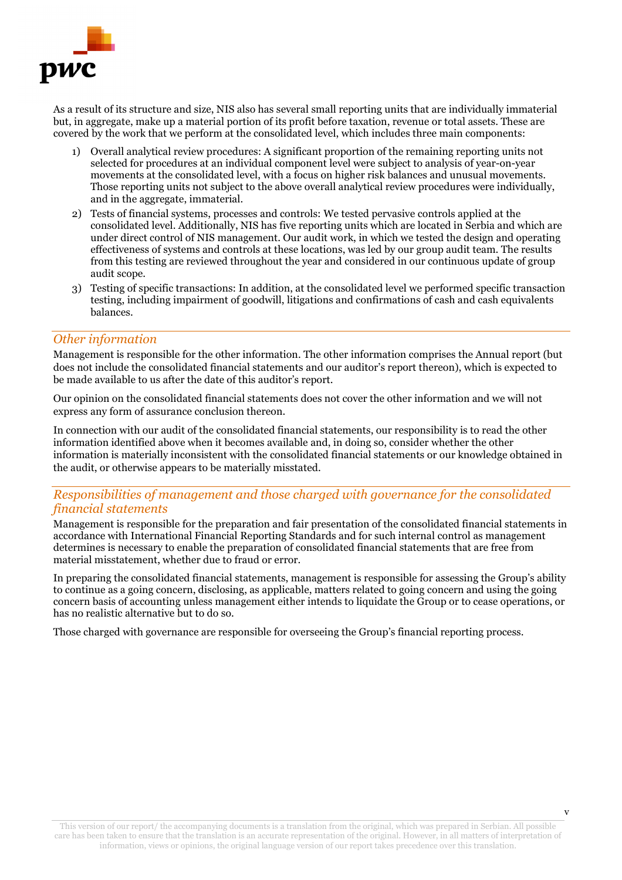

As a result of its structure and size, NIS also has several small reporting units that are individually immaterial but, in aggregate, make up a material portion of its profit before taxation, revenue or total assets. These are covered by the work that we perform at the consolidated level, which includes three main components:

- 1) Overall analytical review procedures: A significant proportion of the remaining reporting units not selected for procedures at an individual component level were subject to analysis of year-on-year movements at the consolidated level, with a focus on higher risk balances and unusual movements. Those reporting units not subject to the above overall analytical review procedures were individually, and in the aggregate, immaterial.
- 2) Tests of financial systems, processes and controls: We tested pervasive controls applied at the consolidated level. Additionally, NIS has five reporting units which are located in Serbia and which are under direct control of NIS management. Our audit work, in which we tested the design and operating effectiveness of systems and controls at these locations, was led by our group audit team. The results from this testing are reviewed throughout the year and considered in our continuous update of group audit scope.
- 3) Testing of specific transactions: In addition, at the consolidated level we performed specific transaction testing, including impairment of goodwill, litigations and confirmations of cash and cash equivalents balances.

#### *Other information*

Management is responsible for the other information. The other information comprises the Annual report (but does not include the consolidated financial statements and our auditor's report thereon), which is expected to be made available to us after the date of this auditor's report.

Our opinion on the consolidated financial statements does not cover the other information and we will not express any form of assurance conclusion thereon.

In connection with our audit of the consolidated financial statements, our responsibility is to read the other information identified above when it becomes available and, in doing so, consider whether the other information is materially inconsistent with the consolidated financial statements or our knowledge obtained in the audit, or otherwise appears to be materially misstated.

# *Responsibilities of management and those charged with governance for the consolidated financial statements*

Management is responsible for the preparation and fair presentation of the consolidated financial statements in accordance with International Financial Reporting Standards and for such internal control as management determines is necessary to enable the preparation of consolidated financial statements that are free from material misstatement, whether due to fraud or error.

In preparing the consolidated financial statements, management is responsible for assessing the Group's ability to continue as a going concern, disclosing, as applicable, matters related to going concern and using the going concern basis of accounting unless management either intends to liquidate the Group or to cease operations, or has no realistic alternative but to do so.

Those charged with governance are responsible for overseeing the Group's financial reporting process.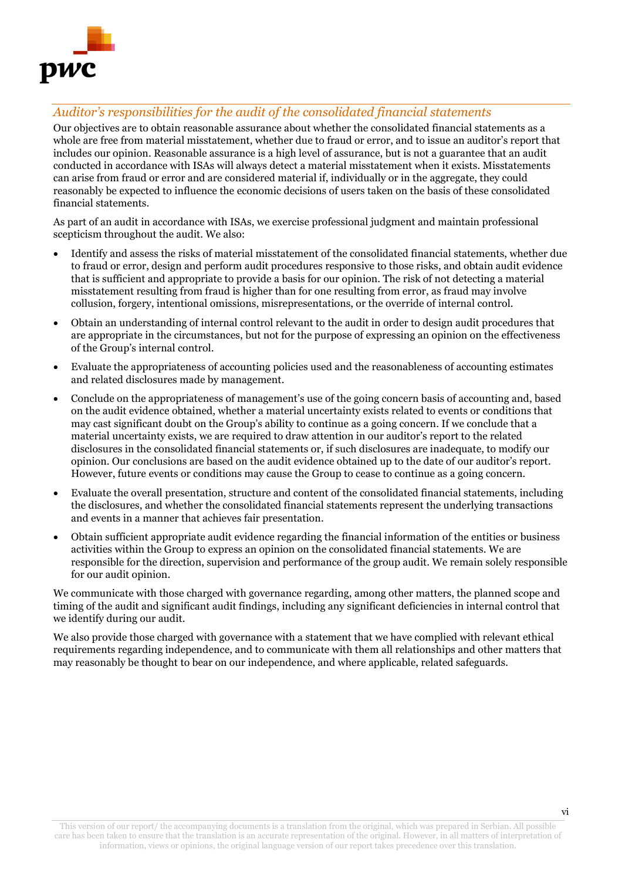

# *Auditor's responsibilities for the audit of the consolidated financial statements*

Our objectives are to obtain reasonable assurance about whether the consolidated financial statements as a whole are free from material misstatement, whether due to fraud or error, and to issue an auditor's report that includes our opinion. Reasonable assurance is a high level of assurance, but is not a guarantee that an audit conducted in accordance with ISAs will always detect a material misstatement when it exists. Misstatements can arise from fraud or error and are considered material if, individually or in the aggregate, they could reasonably be expected to influence the economic decisions of users taken on the basis of these consolidated financial statements.

As part of an audit in accordance with ISAs, we exercise professional judgment and maintain professional scepticism throughout the audit. We also:

- Identify and assess the risks of material misstatement of the consolidated financial statements, whether due to fraud or error, design and perform audit procedures responsive to those risks, and obtain audit evidence that is sufficient and appropriate to provide a basis for our opinion. The risk of not detecting a material misstatement resulting from fraud is higher than for one resulting from error, as fraud may involve collusion, forgery, intentional omissions, misrepresentations, or the override of internal control.
- Obtain an understanding of internal control relevant to the audit in order to design audit procedures that are appropriate in the circumstances, but not for the purpose of expressing an opinion on the effectiveness of the Group's internal control.
- Evaluate the appropriateness of accounting policies used and the reasonableness of accounting estimates and related disclosures made by management.
- Conclude on the appropriateness of management's use of the going concern basis of accounting and, based on the audit evidence obtained, whether a material uncertainty exists related to events or conditions that may cast significant doubt on the Group's ability to continue as a going concern. If we conclude that a material uncertainty exists, we are required to draw attention in our auditor's report to the related disclosures in the consolidated financial statements or, if such disclosures are inadequate, to modify our opinion. Our conclusions are based on the audit evidence obtained up to the date of our auditor's report. However, future events or conditions may cause the Group to cease to continue as a going concern.
- Evaluate the overall presentation, structure and content of the consolidated financial statements, including the disclosures, and whether the consolidated financial statements represent the underlying transactions and events in a manner that achieves fair presentation.
- Obtain sufficient appropriate audit evidence regarding the financial information of the entities or business activities within the Group to express an opinion on the consolidated financial statements. We are responsible for the direction, supervision and performance of the group audit. We remain solely responsible for our audit opinion.

We communicate with those charged with governance regarding, among other matters, the planned scope and timing of the audit and significant audit findings, including any significant deficiencies in internal control that we identify during our audit.

We also provide those charged with governance with a statement that we have complied with relevant ethical requirements regarding independence, and to communicate with them all relationships and other matters that may reasonably be thought to bear on our independence, and where applicable, related safeguards.